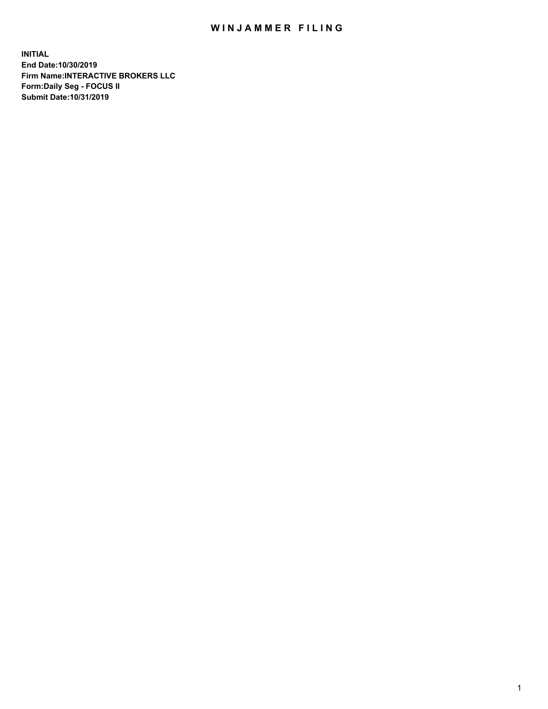## WIN JAMMER FILING

**INITIAL End Date:10/30/2019 Firm Name:INTERACTIVE BROKERS LLC Form:Daily Seg - FOCUS II Submit Date:10/31/2019**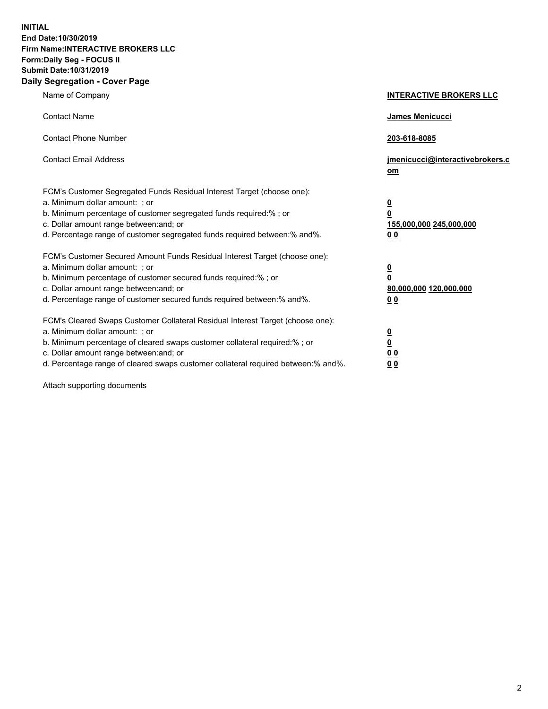**INITIAL End Date:10/30/2019 Firm Name:INTERACTIVE BROKERS LLC Form:Daily Seg - FOCUS II Submit Date:10/31/2019 Daily Segregation - Cover Page**

| Name of Company                                                                                                                                                                                                                                                                                                                | <b>INTERACTIVE BROKERS LLC</b>                                                                  |
|--------------------------------------------------------------------------------------------------------------------------------------------------------------------------------------------------------------------------------------------------------------------------------------------------------------------------------|-------------------------------------------------------------------------------------------------|
| <b>Contact Name</b>                                                                                                                                                                                                                                                                                                            | James Menicucci                                                                                 |
| <b>Contact Phone Number</b>                                                                                                                                                                                                                                                                                                    | 203-618-8085                                                                                    |
| <b>Contact Email Address</b>                                                                                                                                                                                                                                                                                                   | jmenicucci@interactivebrokers.c<br>om                                                           |
| FCM's Customer Segregated Funds Residual Interest Target (choose one):<br>a. Minimum dollar amount: ; or<br>b. Minimum percentage of customer segregated funds required:% ; or<br>c. Dollar amount range between: and; or<br>d. Percentage range of customer segregated funds required between:% and%.                         | $\overline{\mathbf{0}}$<br>$\overline{\mathbf{0}}$<br>155,000,000 245,000,000<br>0 <sub>0</sub> |
| FCM's Customer Secured Amount Funds Residual Interest Target (choose one):<br>a. Minimum dollar amount: ; or<br>b. Minimum percentage of customer secured funds required:%; or<br>c. Dollar amount range between: and; or<br>d. Percentage range of customer secured funds required between:% and%.                            | $\overline{\mathbf{0}}$<br>$\overline{\mathbf{0}}$<br>80,000,000 120,000,000<br>00              |
| FCM's Cleared Swaps Customer Collateral Residual Interest Target (choose one):<br>a. Minimum dollar amount: ; or<br>b. Minimum percentage of cleared swaps customer collateral required:% ; or<br>c. Dollar amount range between: and; or<br>d. Percentage range of cleared swaps customer collateral required between:% and%. | $\overline{\mathbf{0}}$<br>$\underline{\mathbf{0}}$<br>0 <sub>0</sub><br>0 <sub>0</sub>         |

Attach supporting documents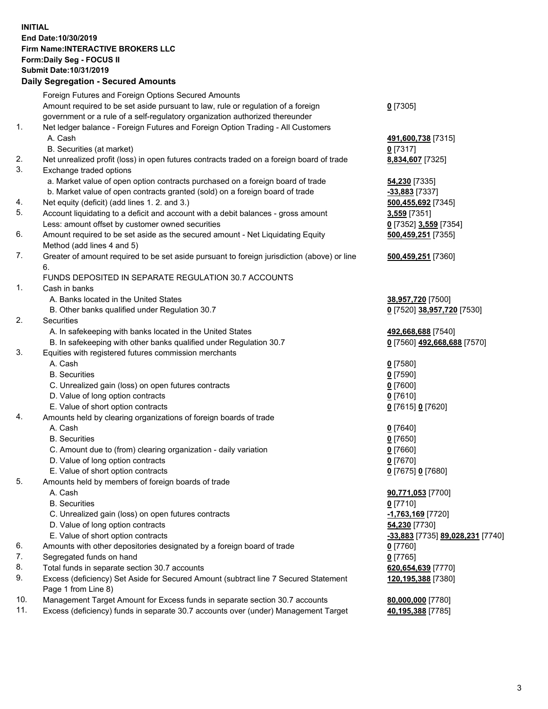## **INITIAL End Date:10/30/2019 Firm Name:INTERACTIVE BROKERS LLC Form:Daily Seg - FOCUS II Submit Date:10/31/2019 Daily Segregation - Secured Amounts**

|                | Dany Segregation - Secured Announts                                                                                         |                                                |
|----------------|-----------------------------------------------------------------------------------------------------------------------------|------------------------------------------------|
|                | Foreign Futures and Foreign Options Secured Amounts                                                                         |                                                |
|                | Amount required to be set aside pursuant to law, rule or regulation of a foreign                                            | $0$ [7305]                                     |
|                | government or a rule of a self-regulatory organization authorized thereunder                                                |                                                |
| $\mathbf{1}$ . | Net ledger balance - Foreign Futures and Foreign Option Trading - All Customers                                             |                                                |
|                | A. Cash                                                                                                                     | 491,600,738 [7315]                             |
|                | B. Securities (at market)                                                                                                   | $0$ [7317]                                     |
| 2.             | Net unrealized profit (loss) in open futures contracts traded on a foreign board of trade                                   | 8,834,607 [7325]                               |
| 3.             | Exchange traded options                                                                                                     |                                                |
|                | a. Market value of open option contracts purchased on a foreign board of trade                                              | <b>54,230</b> [7335]                           |
|                | b. Market value of open contracts granted (sold) on a foreign board of trade                                                | -33,883 [7337]                                 |
| 4.             | Net equity (deficit) (add lines 1. 2. and 3.)                                                                               | 500,455,692 [7345]                             |
| 5.             | Account liquidating to a deficit and account with a debit balances - gross amount                                           | 3,559 [7351]                                   |
|                | Less: amount offset by customer owned securities                                                                            | 0 [7352] 3,559 [7354]                          |
| 6.             | Amount required to be set aside as the secured amount - Net Liquidating Equity                                              | 500,459,251 [7355]                             |
|                | Method (add lines 4 and 5)                                                                                                  |                                                |
| 7.             | Greater of amount required to be set aside pursuant to foreign jurisdiction (above) or line                                 | 500,459,251 [7360]                             |
|                | 6.                                                                                                                          |                                                |
|                | FUNDS DEPOSITED IN SEPARATE REGULATION 30.7 ACCOUNTS                                                                        |                                                |
| 1.             | Cash in banks                                                                                                               |                                                |
|                | A. Banks located in the United States                                                                                       | 38,957,720 [7500]                              |
|                | B. Other banks qualified under Regulation 30.7                                                                              | 0 [7520] 38,957,720 [7530]                     |
| 2.             | <b>Securities</b>                                                                                                           |                                                |
|                | A. In safekeeping with banks located in the United States                                                                   | 492,668,688 [7540]                             |
| 3.             | B. In safekeeping with other banks qualified under Regulation 30.7<br>Equities with registered futures commission merchants | 0 [7560] 492,668,688 [7570]                    |
|                | A. Cash                                                                                                                     |                                                |
|                | <b>B.</b> Securities                                                                                                        | $0$ [7580]<br>$0$ [7590]                       |
|                | C. Unrealized gain (loss) on open futures contracts                                                                         | $0$ [7600]                                     |
|                | D. Value of long option contracts                                                                                           | $0$ [7610]                                     |
|                | E. Value of short option contracts                                                                                          | 0 [7615] 0 [7620]                              |
| 4.             | Amounts held by clearing organizations of foreign boards of trade                                                           |                                                |
|                | A. Cash                                                                                                                     | $0$ [7640]                                     |
|                | <b>B.</b> Securities                                                                                                        | $0$ [7650]                                     |
|                | C. Amount due to (from) clearing organization - daily variation                                                             | $0$ [7660]                                     |
|                | D. Value of long option contracts                                                                                           | $0$ [7670]                                     |
|                | E. Value of short option contracts                                                                                          | 0 [7675] 0 [7680]                              |
| 5.             | Amounts held by members of foreign boards of trade                                                                          |                                                |
|                | A. Cash                                                                                                                     | 90,771,053 [7700]                              |
|                | <b>B.</b> Securities                                                                                                        | $0$ [7710]                                     |
|                | C. Unrealized gain (loss) on open futures contracts                                                                         | -1,763,169 [7720]                              |
|                | D. Value of long option contracts                                                                                           | 54,230 [7730]                                  |
|                | E. Value of short option contracts                                                                                          | <u>-33,883</u> [7735] <u>89,028,231</u> [7740] |
| 6.             | Amounts with other depositories designated by a foreign board of trade                                                      | 0 [7760]                                       |
| 7.             | Segregated funds on hand                                                                                                    | $0$ [7765]                                     |
| 8.             | Total funds in separate section 30.7 accounts                                                                               | 620,654,639 [7770]                             |
| 9.             | Excess (deficiency) Set Aside for Secured Amount (subtract line 7 Secured Statement                                         | 120, 195, 388 [7380]                           |
|                | Page 1 from Line 8)                                                                                                         |                                                |
| 10.            | Management Target Amount for Excess funds in separate section 30.7 accounts                                                 | 80,000,000 [7780]                              |
| 11.            | Excess (deficiency) funds in separate 30.7 accounts over (under) Management Target                                          | 40,195,388 [7785]                              |
|                |                                                                                                                             |                                                |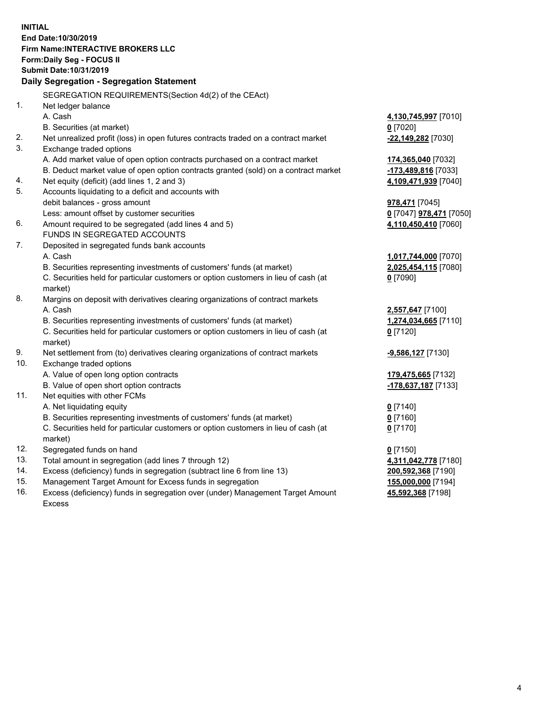**INITIAL End Date:10/30/2019 Firm Name:INTERACTIVE BROKERS LLC Form:Daily Seg - FOCUS II Submit Date:10/31/2019 Daily Segregation - Segregation Statement** SEGREGATION REQUIREMENTS(Section 4d(2) of the CEAct) 1. Net ledger balance A. Cash **4,130,745,997** [7010] B. Securities (at market) **0** [7020] 2. Net unrealized profit (loss) in open futures contracts traded on a contract market **-22,149,282** [7030] 3. Exchange traded options A. Add market value of open option contracts purchased on a contract market **174,365,040** [7032] B. Deduct market value of open option contracts granted (sold) on a contract market **-173,489,816** [7033] 4. Net equity (deficit) (add lines 1, 2 and 3) **4,109,471,939** [7040] 5. Accounts liquidating to a deficit and accounts with debit balances - gross amount **978,471** [7045] Less: amount offset by customer securities **0** [7047] **978,471** [7050] 6. Amount required to be segregated (add lines 4 and 5) **4,110,450,410** [7060] FUNDS IN SEGREGATED ACCOUNTS 7. Deposited in segregated funds bank accounts A. Cash **1,017,744,000** [7070] B. Securities representing investments of customers' funds (at market) **2,025,454,115** [7080] C. Securities held for particular customers or option customers in lieu of cash (at market) **0** [7090] 8. Margins on deposit with derivatives clearing organizations of contract markets A. Cash **2,557,647** [7100] B. Securities representing investments of customers' funds (at market) **1,274,034,665** [7110] C. Securities held for particular customers or option customers in lieu of cash (at market) **0** [7120] 9. Net settlement from (to) derivatives clearing organizations of contract markets **-9,586,127** [7130] 10. Exchange traded options A. Value of open long option contracts **179,475,665** [7132] B. Value of open short option contracts **-178,637,187** [7133] 11. Net equities with other FCMs A. Net liquidating equity **0** [7140] B. Securities representing investments of customers' funds (at market) **0** [7160] C. Securities held for particular customers or option customers in lieu of cash (at market) **0** [7170] 12. Segregated funds on hand **0** [7150] 13. Total amount in segregation (add lines 7 through 12) **4,311,042,778** [7180] 14. Excess (deficiency) funds in segregation (subtract line 6 from line 13) **200,592,368** [7190] 15. Management Target Amount for Excess funds in segregation **155,000,000** [7194] **45,592,368** [7198]

16. Excess (deficiency) funds in segregation over (under) Management Target Amount Excess